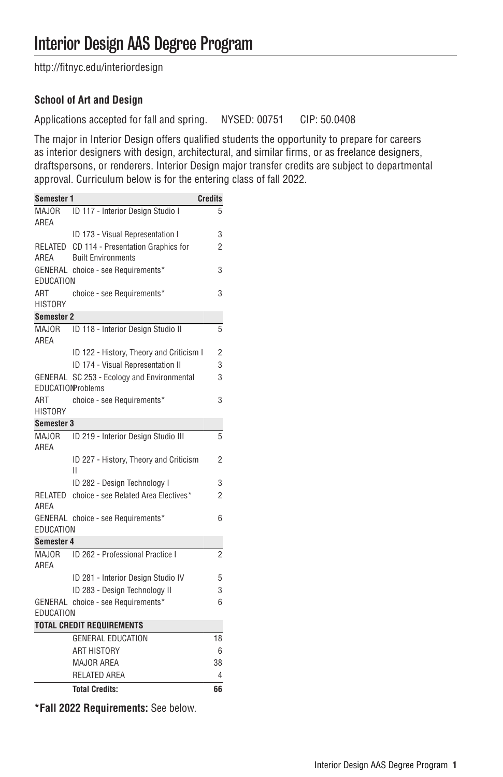[http://fitnyc.edu/interiordesign](http://fitnyc.edu/interiordesign/)

## **School of Art and Design**

Applications accepted for fall and spring. NYSED: 00751 CIP: 50.0408

The major in Interior Design offers qualified students the opportunity to prepare for careers as interior designers with design, architectural, and similar firms, or as freelance designers, draftspersons, or renderers. Interior Design major transfer credits are subject to departmental approval. Curriculum below is for the entering class of fall 2022.

| Semester 1            |                                                                 | <b>Credits</b> |
|-----------------------|-----------------------------------------------------------------|----------------|
| MAJOR<br>AREA         | ID 117 - Interior Design Studio I                               | 5              |
|                       | ID 173 - Visual Representation I                                | 3              |
| RELATED<br>AREA       | CD 114 - Presentation Graphics for<br><b>Built Environments</b> | 2              |
| EDUCATION             | GENERAL choice - see Requirements*                              | 3              |
| ART<br><b>HISTORY</b> | choice - see Requirements*                                      | 3              |
| <b>Semester 2</b>     |                                                                 |                |
| <b>MAJOR</b><br>AREA  | ID 118 - Interior Design Studio II                              | 5              |
|                       | ID 122 - History, Theory and Criticism I                        | 2              |
|                       | ID 174 - Visual Representation II                               | 3              |
| GENERAL               | SC 253 - Ecology and Environmental<br><b>EDUCATIONProblems</b>  | 3              |
| ART<br><b>HISTORY</b> | choice - see Requirements*                                      | 3              |
| Semester 3            |                                                                 |                |
| <b>MAJOR</b><br>AREA  | ID 219 - Interior Design Studio III                             | 5              |
|                       | ID 227 - History, Theory and Criticism<br>П                     | 2              |
|                       | ID 282 - Design Technology I                                    | 3              |
| RELATED<br>AREA       | choice - see Related Area Electives*                            | 2              |
| EDUCATION             | GENERAL choice - see Requirements*                              | 6              |
| Semester 4            |                                                                 |                |
| <b>MAJOR</b><br>AREA  | ID 262 - Professional Practice I                                | $\overline{2}$ |
|                       | ID 281 - Interior Design Studio IV                              | 5              |
|                       | ID 283 - Design Technology II                                   | 3              |
|                       | GENERAL choice - see Requirements*                              | 6              |
| EDUCATION             |                                                                 |                |
|                       | <b>TOTAL CREDIT REQUIREMENTS</b>                                |                |
|                       | <b>GENERAL EDUCATION</b>                                        | 18             |
|                       | <b>ART HISTORY</b>                                              | 6              |
|                       | <b>MAJOR AREA</b><br><b>RELATED AREA</b>                        | 38             |
|                       |                                                                 | 4              |
|                       | <b>Total Credits:</b>                                           | 66             |

**\*Fall 2022 Requirements:** See below.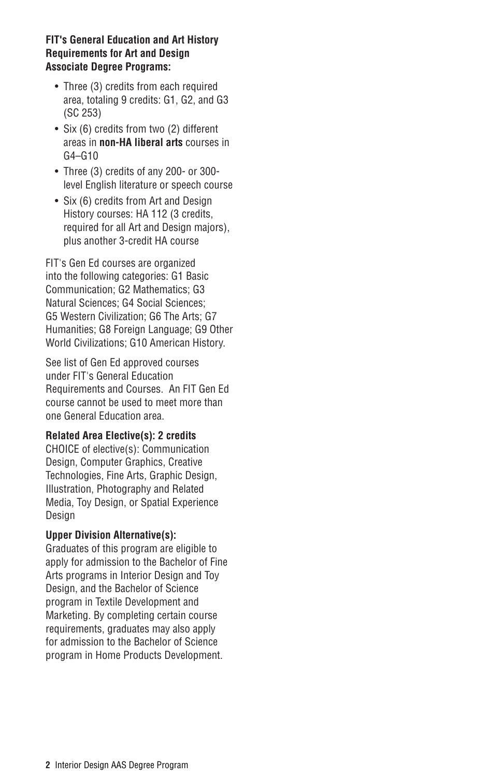## **FIT's General Education and Art History Requirements for Art and Design Associate Degree Programs:**

- Three (3) credits from each required area, totaling 9 credits: G1, G2, and G3 (SC 253)
- Six (6) credits from two (2) different areas in **non-HA liberal arts** courses in G4–G10
- Three (3) credits of any 200- or 300 level English literature or speech course
- Six (6) credits from Art and Design History courses: HA 112 (3 credits, required for all Art and Design majors), plus another 3-credit HA course

FIT's Gen Ed courses are organized into the following categories: G1 Basic Communication; G2 Mathematics; G3 Natural Sciences; G4 Social Sciences; G5 Western Civilization; G6 The Arts; G7 Humanities; G8 Foreign Language; G9 Other World Civilizations; G10 American History.

See list of Gen Ed approved courses under [FIT's General Education](http://catalog.fitnyc.edu/undergraduate/generaleducationrequirements/) [Requirements and Courses.](http://catalog.fitnyc.edu/undergraduate/generaleducationrequirements/) An FIT Gen Ed course cannot be used to meet more than one General Education area.

## **Related Area Elective(s): 2 credits**

CHOICE of elective(s): Communication Design, Computer Graphics, Creative Technologies, Fine Arts, Graphic Design, Illustration, Photography and Related Media, Toy Design, or Spatial Experience Design

## **Upper Division Alternative(s):**

Graduates of this program are eligible to apply for admission to the Bachelor of Fine Arts programs in [Interior Design](http://catalog.fitnyc.edu/undergraduate/majors/baccalaureatedegreeprograms/interiordesignmajor/) and [Toy](http://catalog.fitnyc.edu/undergraduate/majors/baccalaureatedegreeprograms/toydesignmajor/) [Design](http://catalog.fitnyc.edu/undergraduate/majors/baccalaureatedegreeprograms/toydesignmajor/), and the Bachelor of Science program in [Textile Development and](http://catalog.fitnyc.edu/undergraduate/majors/baccalaureatedegreeprograms/textiledevelopmentandmarketingmajor/) [Marketing.](http://catalog.fitnyc.edu/undergraduate/majors/baccalaureatedegreeprograms/textiledevelopmentandmarketingmajor/) By completing certain course requirements, graduates may also apply for admission to the Bachelor of Science program in [Home Products Development](http://catalog.fitnyc.edu/undergraduate/majors/baccalaureatedegreeprograms/homeproductsdevelopmentmajor/).